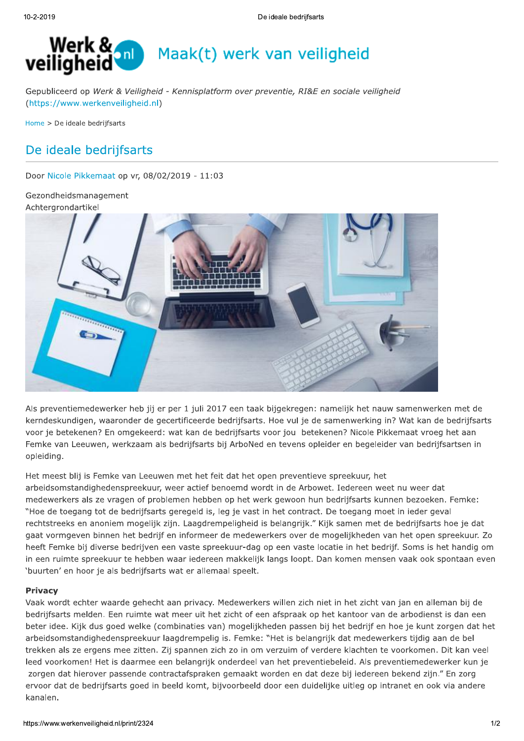

Gepubliceerd op Werk & Veiligheid - Kennisplatform over preventie, RI&E en sociale veiligheid (https://www.werkenveiligheid.nl)

Home > De ideale bedrijfsarts

# De ideale bedrijfsarts

Door Nicole Pikkemaat op vr, 08/02/2019 - 11:03

Gezondheidsmanagement Achtergrondartikel



Als preventiemedewerker heb jij er per 1 juli 2017 een taak bijgekregen: namelijk het nauw samenwerken met de kerndeskundigen, waaronder de gecertificeerde bedrijfsarts. Hoe vul je de samenwerking in? Wat kan de bedrijfsarts voor je betekenen? En omgekeerd: wat kan de bedrijfsarts voor jou betekenen? Nicole Pikkemaat vroeg het aan Femke van Leeuwen, werkzaam als bedrijfsarts bij ArboNed en tevens opleider en begeleider van bedrijfsartsen in opleiding.

Het meest blij is Femke van Leeuwen met het feit dat het open preventieve spreekuur, het arbeidsomstandighedenspreekuur, weer actief benoemd wordt in de Arbowet. Iedereen weet nu weer dat medewerkers als ze vragen of problemen hebben op het werk gewoon hun bedrijfsarts kunnen bezoeken. Femke: "Hoe de toegang tot de bedrijfsarts geregeld is, leg je vast in het contract. De toegang moet in ieder geval rechtstreeks en anoniem mogelijk zijn. Laagdrempeligheid is belangrijk." Kijk samen met de bedrijfsarts hoe je dat gaat vormgeven binnen het bedrijf en informeer de medewerkers over de mogelijkheden van het open spreekuur. Zo heeft Femke bij diverse bedrijven een vaste spreekuur-dag op een vaste locatie in het bedrijf. Soms is het handig om in een ruimte spreekuur te hebben waar iedereen makkelijk langs loopt. Dan komen mensen vaak ook spontaan even 'buurten' en hoor je als bedrijfsarts wat er allemaal speelt.

#### **Privacy**

Vaak wordt echter waarde gehecht aan privacy. Medewerkers willen zich niet in het zicht van jan en alleman bij de bedrijfsarts melden. Een ruimte wat meer uit het zicht of een afspraak op het kantoor van de arbodienst is dan een beter idee. Kijk dus goed welke (combinaties van) mogelijkheden passen bij het bedrijf en hoe je kunt zorgen dat het arbeidsomstandighedenspreekuur laagdrempelig is. Femke: "Het is belangrijk dat medewerkers tijdig aan de bel trekken als ze ergens mee zitten. Zij spannen zich zo in om verzuim of verdere klachten te voorkomen. Dit kan veel leed voorkomen! Het is daarmee een belangrijk onderdeel van het preventiebeleid. Als preventiemedewerker kun je zorgen dat hierover passende contractafspraken gemaakt worden en dat deze bij iedereen bekend zijn." En zorg ervoor dat de bedrijfsarts goed in beeld komt, bijvoorbeeld door een duidelijke uitleg op intranet en ook via andere kanalen.